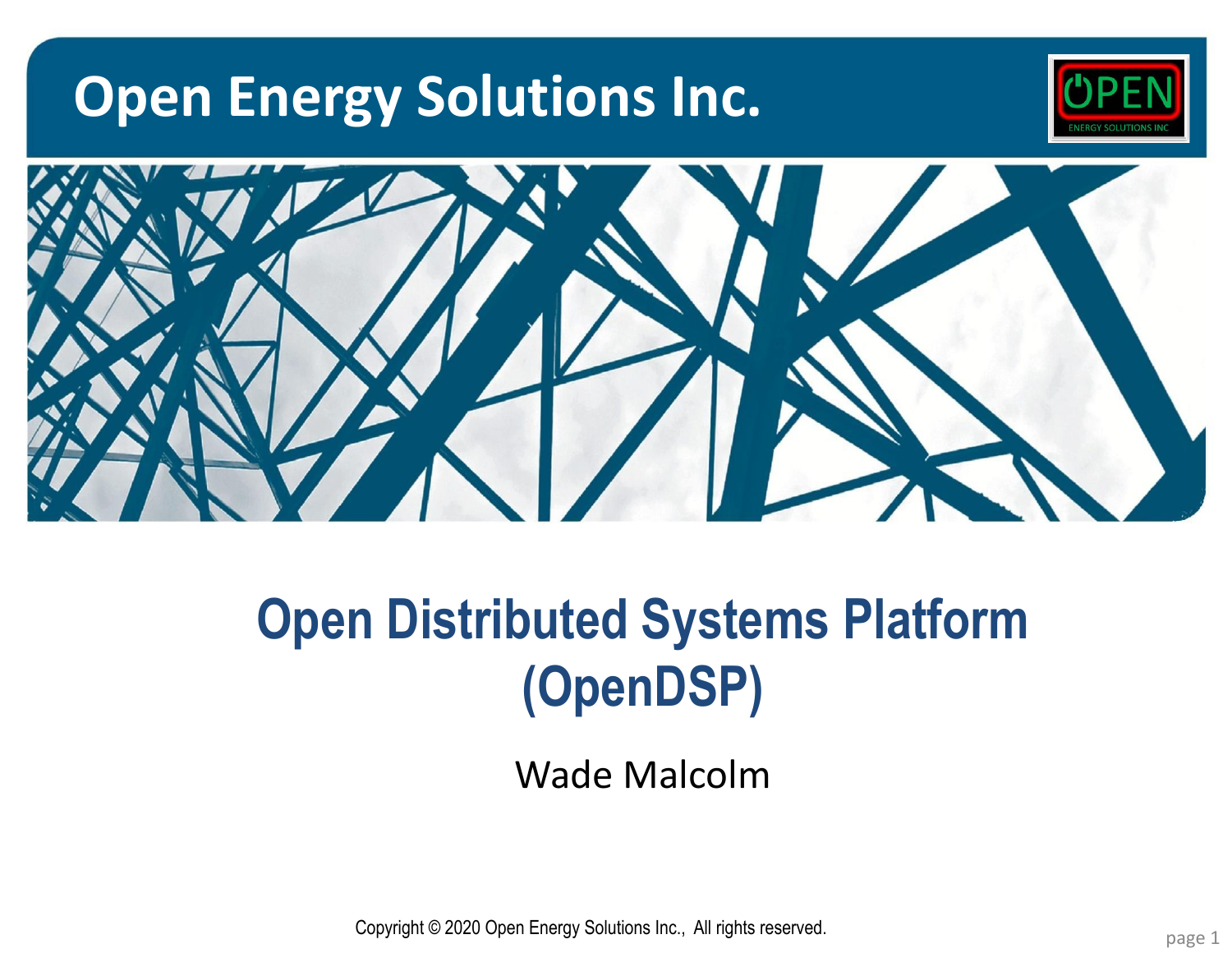# **Open Energy Solutions Inc.**





# **Open Distributed Systems Platform (OpenDSP)**

Wade Malcolm

**Copyright © 2020 Open Energy Solutions Inc., All rights reserved.** The companion of the control of the control of the control of the control of the control of the control of the control of the control of the control of th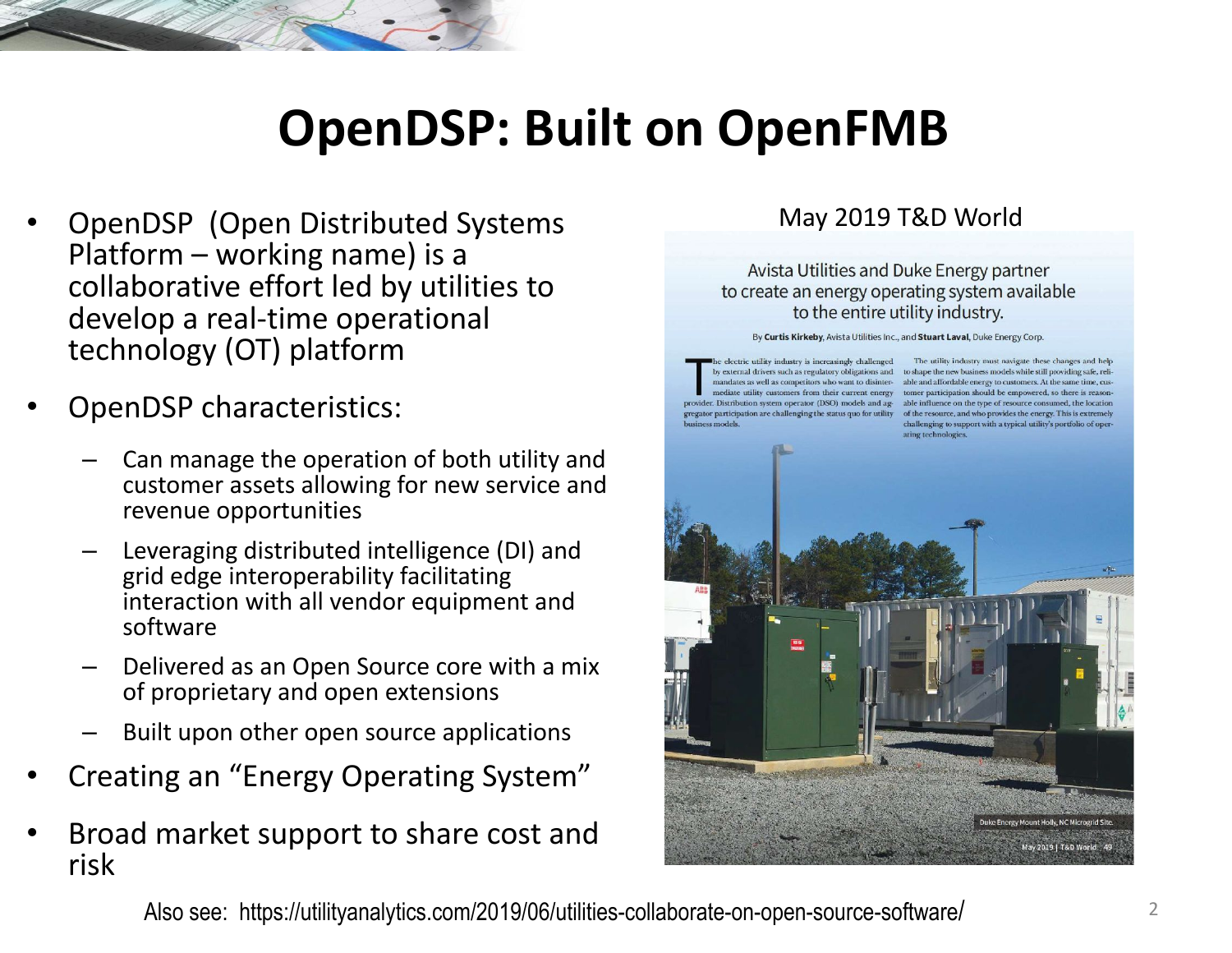## **OpenDSP: Built on OpenFMB**

- OpenDSP (Open Distributed Systems Platform – working name) is a collaborative effort led by utilities to develop a real-time operational technology (OT) platform
- OpenDSP characteristics:
	- Can manage the operation of both utility and customer assets allowing for new service and revenue opportunities
	- Leveraging distributed intelligence (DI) and grid edge interoperability facilitating interaction with all vendor equipment and software
	- Delivered as an Open Source core with a mix of proprietary and open extensions
	- Built upon other open source applications
- Creating an "Energy Operating System"
- Broad market support to share cost and risk

#### May 2019 T&D World

Avista Utilities and Duke Energy partner to create an energy operating system available to the entire utility industry.

By Curtis Kirkeby, Avista Utilities Inc., and Stuart Laval, Duke Energy Corp.

electric utility industry is increasingly challenged

The utility industry must navigate these changes and help by external drivers such as regulatory obligations and to shape the new business models while still providing safe, relimandates as well as competitors who want to disinter- able and affordable energy to customers. At the same time, cusmediate utility customers from their current energy tomer participation should be empowered, so there is reasonprovider. Distribution system operator (DSO) models and ag-able influence on the type of resource consumed, the location gregator participation are challenging the status quo for utility of the resource, and who provides the energy. This is extremely challenging to support with a typical utility's portfolio of operating technologies.



Also see: https://utilityanalytics.com/2019/06/utilities-collaborate-on-open-source-software/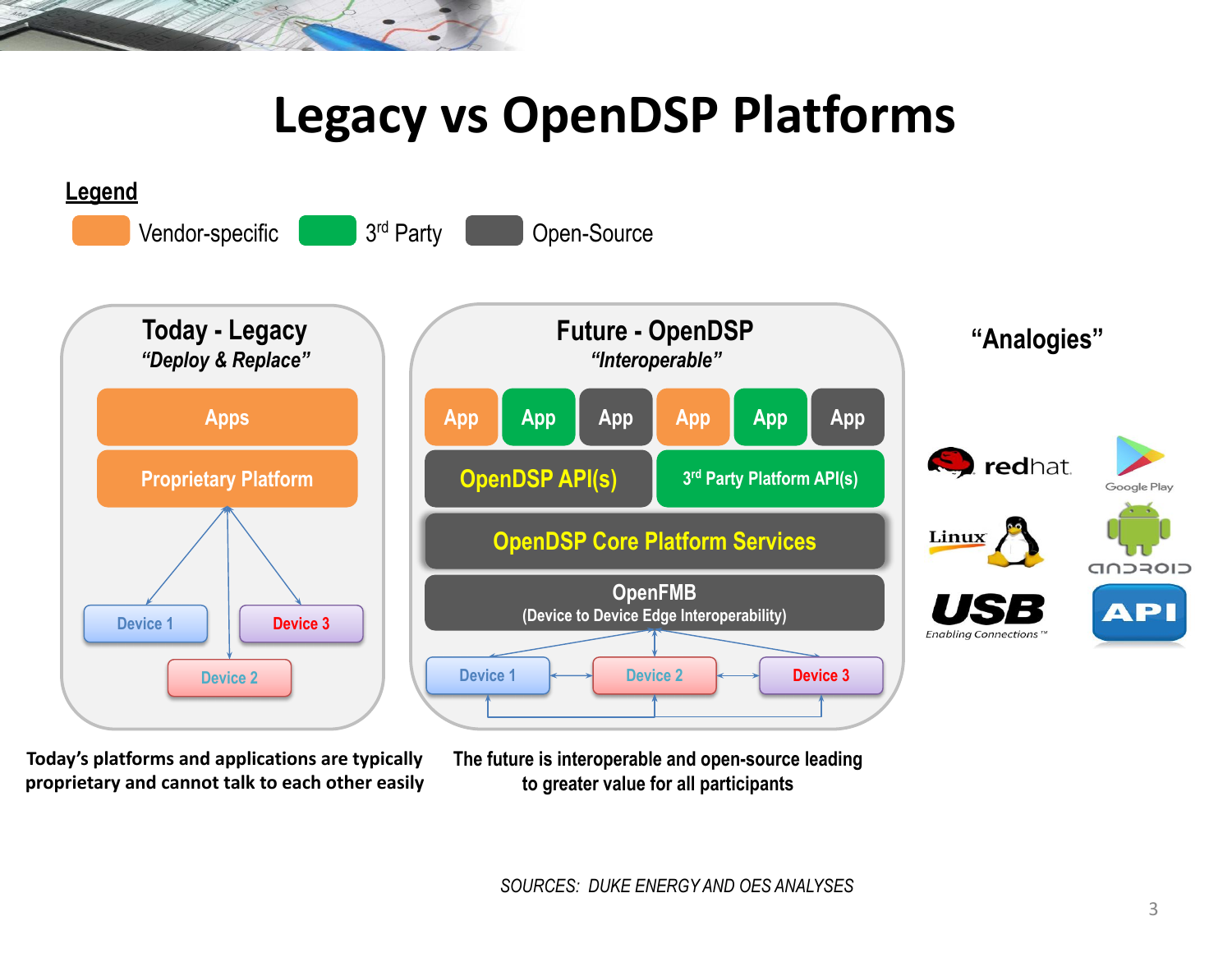### **Legacy vs OpenDSP Platforms**



**Today's platforms and applications are typically proprietary and cannot talk to each other easily** **The future is interoperable and open-source leading to greater value for all participants**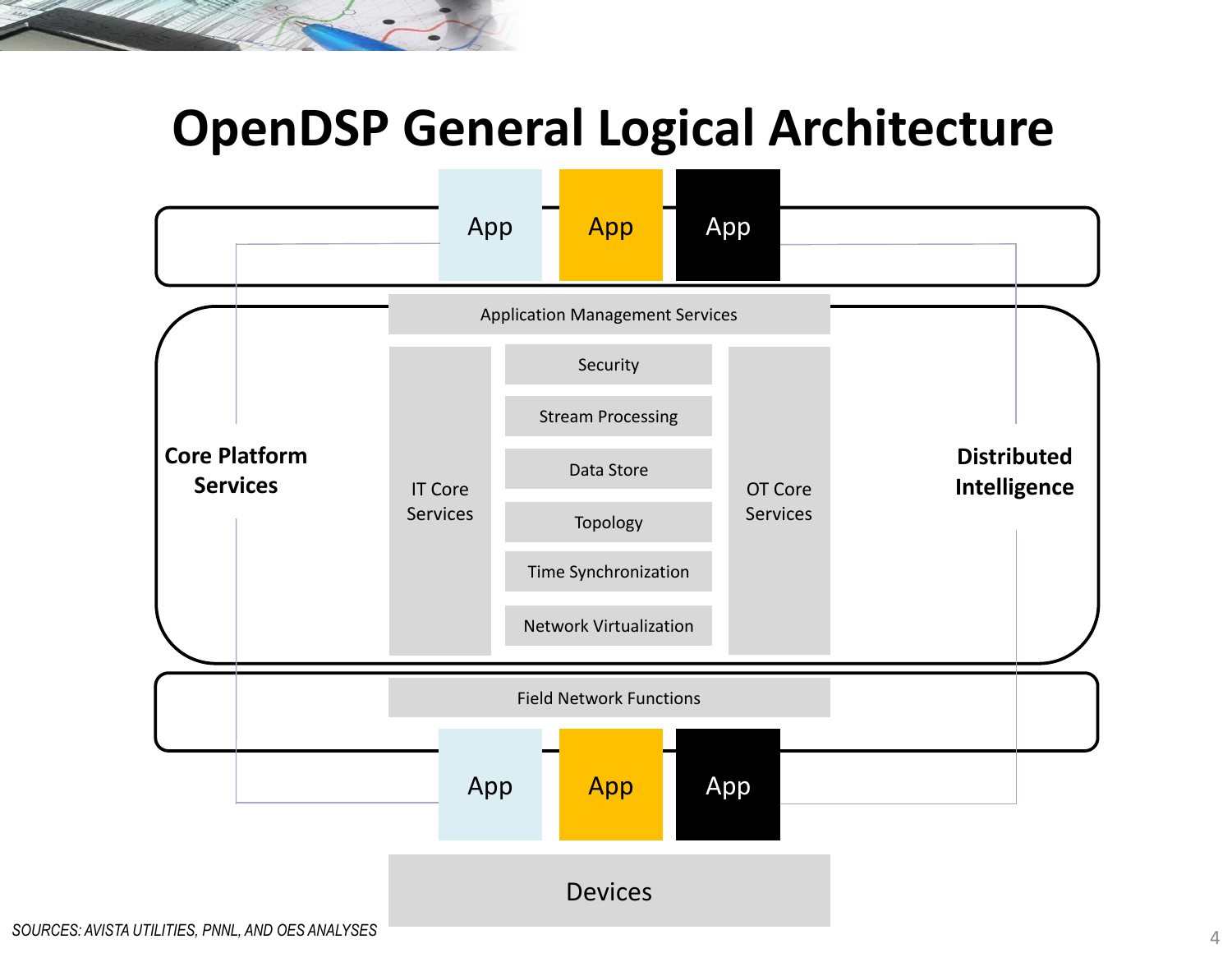### **OpenDSP General Logical Architecture**

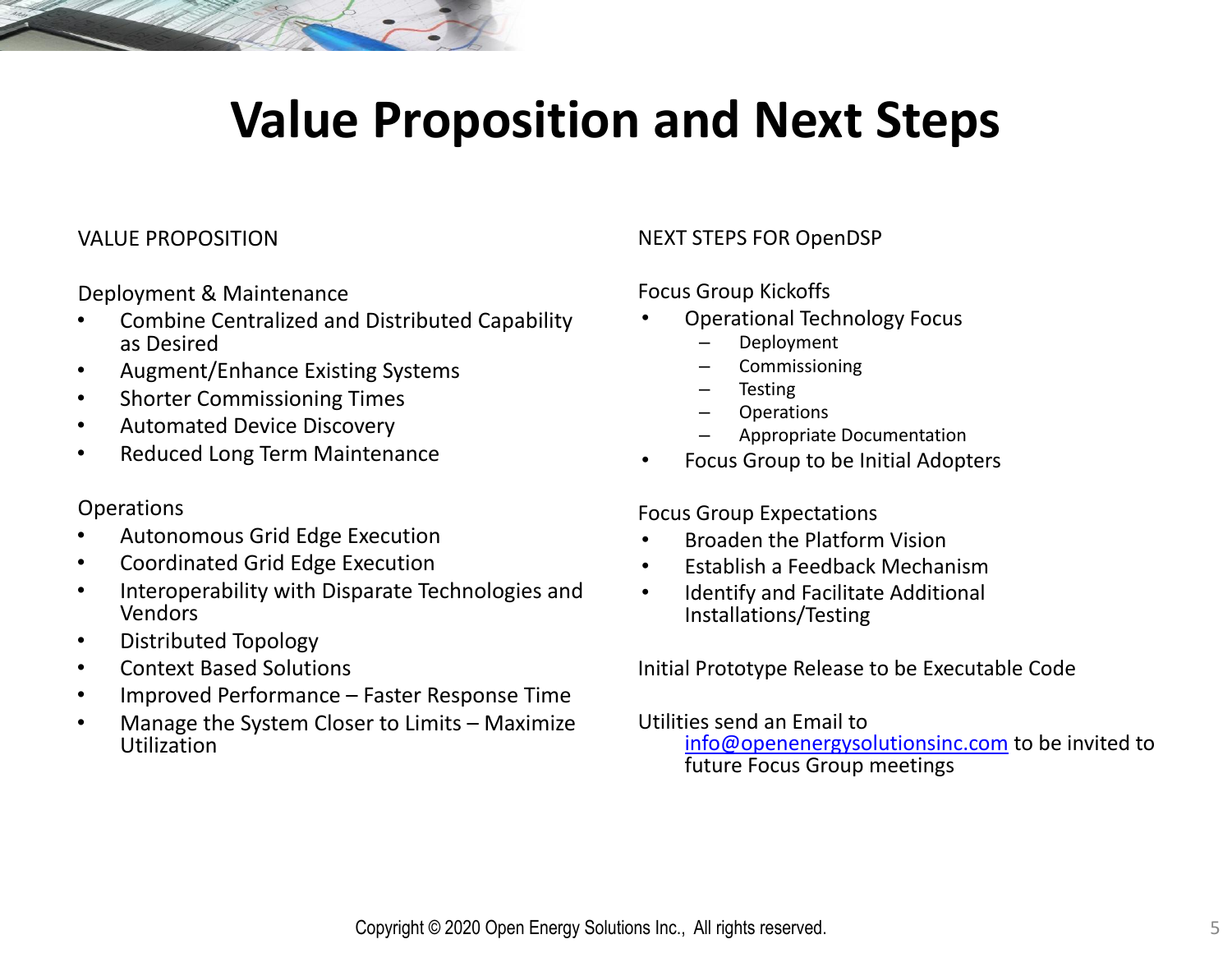### **Value Proposition and Next Steps**

#### VALUE PROPOSITION

Deployment & Maintenance

- Combine Centralized and Distributed Capability as Desired
- Augment/Enhance Existing Systems
- Shorter Commissioning Times
- Automated Device Discovery
- Reduced Long Term Maintenance

#### **Operations**

- Autonomous Grid Edge Execution
- Coordinated Grid Edge Execution
- Interoperability with Disparate Technologies and Vendors
- Distributed Topology
- Context Based Solutions
- Improved Performance Faster Response Time
- Manage the System Closer to Limits Maximize Utilization

#### NEXT STEPS FOR OpenDSP

#### Focus Group Kickoffs

- Operational Technology Focus
	- Deployment
	- **Commissioning**
	- **Testing**
	- **Operations**
	- Appropriate Documentation
- Focus Group to be Initial Adopters

#### Focus Group Expectations

- Broaden the Platform Vision
- Establish a Feedback Mechanism
- Identify and Facilitate Additional Installations/Testing

Initial Prototype Release to be Executable Code

Utilities send an Email to

[info@openenergysolutionsinc.com](mailto:info@openenergysolutionsinc.com) to be invited to future Focus Group meetings